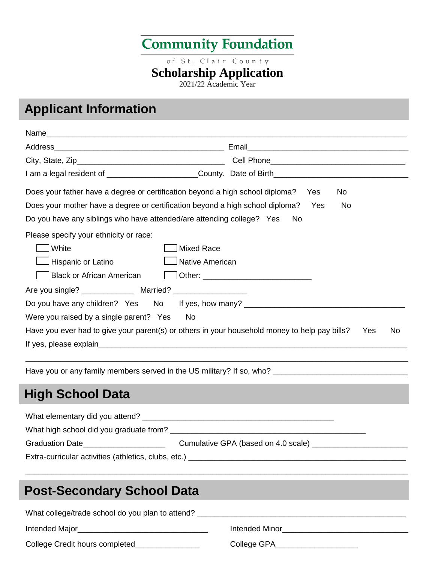# **Community Foundation**

of St. Clair County

#### **Scholarship Application**

2021/22 Academic Year

## **Applicant Information**

| Does your father have a degree or certification beyond a high school diploma? Yes                                                                                                                                              | No.                                                                                                        |
|--------------------------------------------------------------------------------------------------------------------------------------------------------------------------------------------------------------------------------|------------------------------------------------------------------------------------------------------------|
| Does your mother have a degree or certification beyond a high school diploma? Yes                                                                                                                                              | No                                                                                                         |
| Do you have any siblings who have attended/are attending college? Yes                                                                                                                                                          | -No                                                                                                        |
| Please specify your ethnicity or race:                                                                                                                                                                                         |                                                                                                            |
| White                                                                                                                                                                                                                          | Mixed Race                                                                                                 |
| Hispanic or Latino                                                                                                                                                                                                             | Native American                                                                                            |
| <b>Black or African American</b>                                                                                                                                                                                               | Other: Other:                                                                                              |
|                                                                                                                                                                                                                                |                                                                                                            |
|                                                                                                                                                                                                                                | Do you have any children? Yes No If yes, how many? _____________________________                           |
| Were you raised by a single parent? Yes                                                                                                                                                                                        | No                                                                                                         |
|                                                                                                                                                                                                                                | Have you ever had to give your parent(s) or others in your household money to help pay bills?<br>No<br>Yes |
| If yes, please explain example and the state of the state of the state of the state of the state of the state of the state of the state of the state of the state of the state of the state of the state of the state of the s |                                                                                                            |
|                                                                                                                                                                                                                                |                                                                                                            |
| <b>High School Data</b>                                                                                                                                                                                                        |                                                                                                            |
|                                                                                                                                                                                                                                |                                                                                                            |
|                                                                                                                                                                                                                                |                                                                                                            |
| Graduation Date______________________                                                                                                                                                                                          |                                                                                                            |
|                                                                                                                                                                                                                                |                                                                                                            |
|                                                                                                                                                                                                                                |                                                                                                            |

### **Post-Secondary School Data**

| What college/trade school do you plan to attend? |                |  |  |  |
|--------------------------------------------------|----------------|--|--|--|
| Intended Major                                   | Intended Minor |  |  |  |
| College Credit hours completed                   | College GPA    |  |  |  |

\_\_\_\_\_\_\_\_\_\_\_\_\_\_\_\_\_\_\_\_\_\_\_\_\_\_\_\_\_\_\_\_\_\_\_\_\_\_\_\_\_\_\_\_\_\_\_\_\_\_\_\_\_\_\_\_\_\_\_\_\_\_\_\_\_\_\_\_\_\_\_\_\_\_\_\_\_\_\_\_\_\_\_\_\_\_\_\_